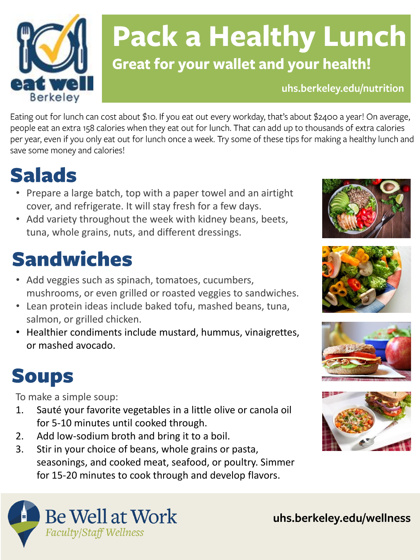

## **Pack a Healthy Lunch Great for your wallet and your health!**

uhs.berkeley.edu/nutrition

Eating out for lunch can cost about \$10. If you eat out every workday, that's about \$2400 a year! On average, people eat an extra 158 calories when they eat out for lunch. That can add up to thousands of extra calories per year, even if you only eat out for lunch once a week. Try some of these tips for making a healthy lunch and save some money and calories!

### **Salads**

- Prepare a large batch, top with a paper towel and an airtight cover, and refrigerate. It will stay fresh for a few days.
- Add variety throughout the week with kidney beans, beets, tuna, whole grains, nuts, and different dressings.

### **Sandwiches**

- Add veggies such as spinach, tomatoes, cucumbers, mushrooms, or even grilled or roasted veggies to sandwiches.
- Lean protein ideas include baked tofu, mashed beans, tuna, salmon, or grilled chicken.
- Healthier condiments include mustard, hummus, vinaigrettes, or mashed avocado.

### **Soups**

To make a simple soup:

- 1. Sauté your favorite vegetables in a little olive or canola oil for 5-10 minutes until cooked through.
- 2. Add low-sodium broth and bring it to a boil.
- 3. Stir in your choice of beans, whole grains or pasta, seasonings, and cooked meat, seafood, or poultry. Simmer for 15-20 minutes to cook through and develop flavors.











uhs.berkeley.edu/wellness